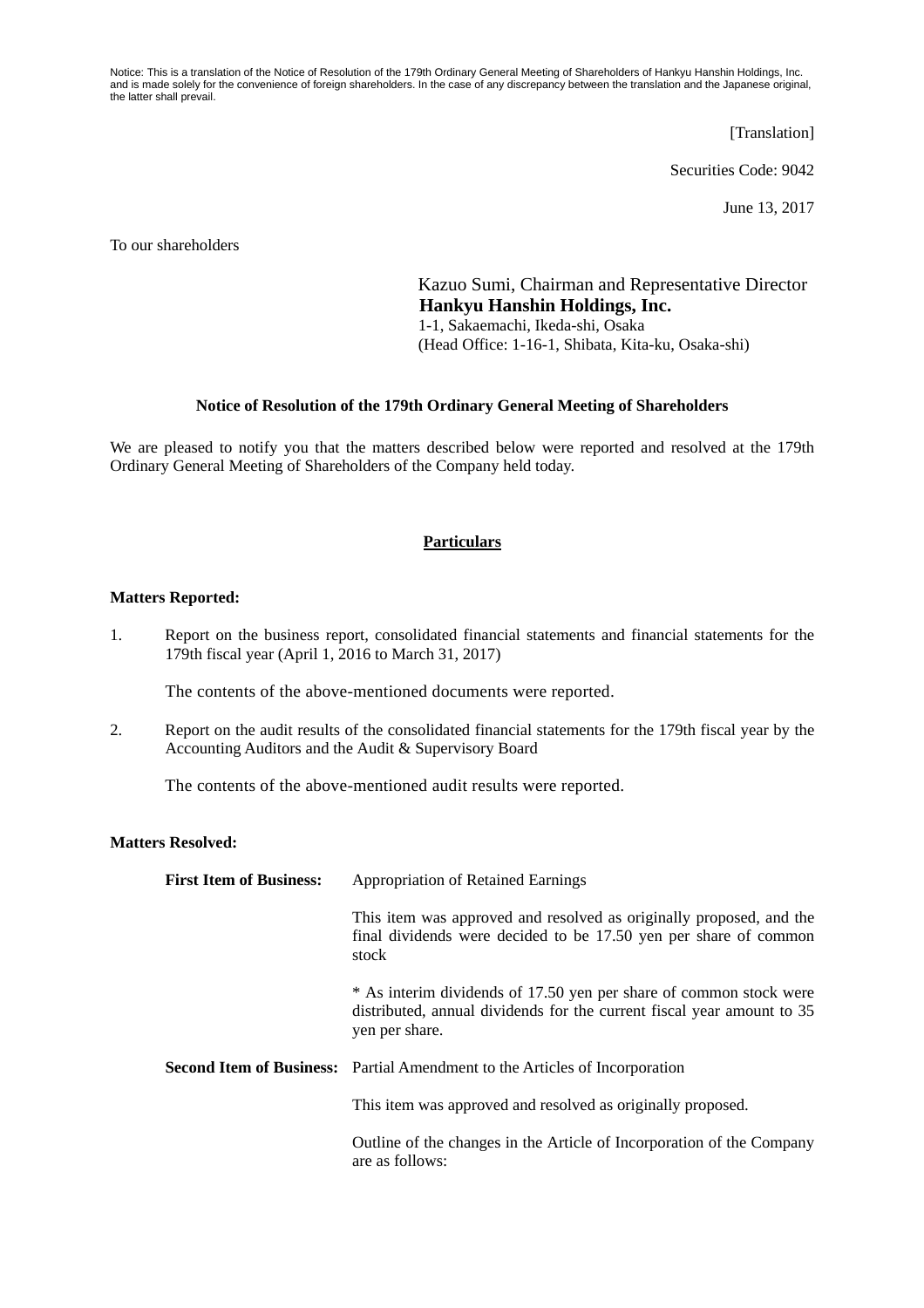Notice: This is a translation of the Notice of Resolution of the 179th Ordinary General Meeting of Shareholders of Hankyu Hanshin Holdings, Inc. and is made solely for the convenience of foreign shareholders. In the case of any discrepancy between the translation and the Japanese original, the latter shall prevail.

[Translation]

Securities Code: 9042

June 13, 2017

To our shareholders

Kazuo Sumi, Chairman and Representative Director **Hankyu Hanshin Holdings, Inc.**  1-1, Sakaemachi, Ikeda-shi, Osaka (Head Office: 1-16-1, Shibata, Kita-ku, Osaka-shi)

## **Notice of Resolution of the 179th Ordinary General Meeting of Shareholders**

We are pleased to notify you that the matters described below were reported and resolved at the 179th Ordinary General Meeting of Shareholders of the Company held today.

## **Particulars**

## **Matters Reported:**

1. Report on the business report, consolidated financial statements and financial statements for the 179th fiscal year (April 1, 2016 to March 31, 2017)

The contents of the above-mentioned documents were reported.

2. Report on the audit results of the consolidated financial statements for the 179th fiscal year by the Accounting Auditors and the Audit & Supervisory Board

The contents of the above-mentioned audit results were reported.

## **Matters Resolved:**

| <b>First Item of Business:</b> | <b>Appropriation of Retained Earnings</b>                                                                                                                      |  |
|--------------------------------|----------------------------------------------------------------------------------------------------------------------------------------------------------------|--|
|                                | This item was approved and resolved as originally proposed, and the<br>final dividends were decided to be 17.50 yen per share of common<br>stock               |  |
|                                | * As interim dividends of 17.50 yen per share of common stock were<br>distributed, annual dividends for the current fiscal year amount to 35<br>yen per share. |  |
|                                | <b>Second Item of Business:</b> Partial Amendment to the Articles of Incorporation                                                                             |  |
|                                | This item was approved and resolved as originally proposed.                                                                                                    |  |
|                                | Outline of the changes in the Article of Incorporation of the Company<br>are as follows:                                                                       |  |